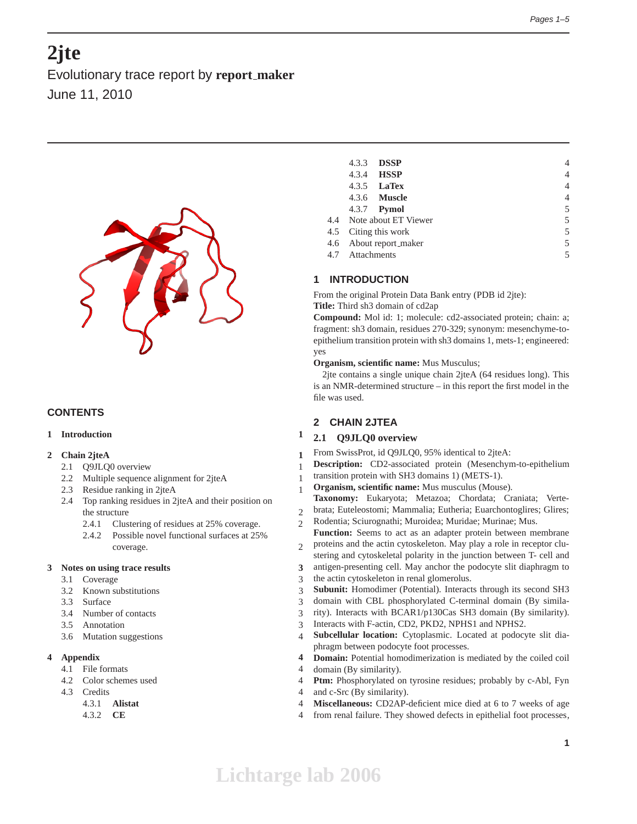# **2jte**

Evolutionary trace report by **report maker** June 11, 2010



# **CONTENTS**

# **1 Introduction 1**

# **2 Chain 2jteA 1**

- 2.1 Q9JLQ0 overview 1
- 2.2 Multiple sequence alignment for 2jteA 1
- 2.3 Residue ranking in 2jteA 1
- 2.4 Top ranking residues in 2jteA and their position on the structure 2
	- 2.4.1 Clustering of residues at 25% coverage. 2
	- 2.4.2 Possible novel functional surfaces at 25% coverage. 2

#### **3 Notes on using trace results 3**

- 3.1 Coverage 3
- 3.2 Known substitutions 3
- 3.3 Surface 3
- 3.4 Number of contacts 3
- 3.5 Annotation 3
- 3.6 Mutation suggestions 4

# **4 Appendix 4**

- 4.1 File formats 4
- 4.2 Color schemes used 4
- 4.3 Credits 4
	- 4.3.1 **Alistat** 4
	- 4.3.2 **CE** 4

|                             | 4.3.3 <b>DSSP</b>        | 4 |
|-----------------------------|--------------------------|---|
|                             | 4.3.4 <b>HSSP</b>        | 4 |
|                             | 4.3.5 <b>LaTex</b>       | 4 |
|                             | 4.3.6 <b>Muscle</b>      | 4 |
|                             | 4.3.7 <b>Pymol</b>       | 5 |
|                             | 4.4 Note about ET Viewer | 5 |
| 5<br>4.5 Citing this work   |                          |   |
| 5<br>4.6 About report_maker |                          |   |
| 4.7 Attachments             |                          | 5 |
|                             |                          |   |

# **1 INTRODUCTION**

From the original Protein Data Bank entry (PDB id 2jte): **Title:** Third sh3 domain of cd2ap

**Compound:** Mol id: 1; molecule: cd2-associated protein; chain: a; fragment: sh3 domain, residues 270-329; synonym: mesenchyme-toepithelium transition protein with sh3 domains 1, mets-1; engineered: yes

**Organism, scientific name:** Mus Musculus;

2jte contains a single unique chain 2jteA (64 residues long). This is an NMR-determined structure – in this report the first model in the file was used.

# **2 CHAIN 2JTEA**

# **2.1 Q9JLQ0 overview**

- From SwissProt, id Q9JLQ0, 95% identical to 2jteA:
- **Description:** CD2-associated protein (Mesenchym-to-epithelium
- transition protein with SH3 domains 1) (METS-1).
- **Organism, scientific name:** Mus musculus (Mouse).
- **Taxonomy:** Eukaryota; Metazoa; Chordata; Craniata; Vertebrata; Euteleostomi; Mammalia; Eutheria; Euarchontoglires; Glires;
- Rodentia; Sciurognathi; Muroidea; Muridae; Murinae; Mus.
- **Function:** Seems to act as an adapter protein between membrane proteins and the actin cytoskeleton. May play a role in receptor clu-
- stering and cytoskeletal polarity in the junction between T- cell and antigen-presenting cell. May anchor the podocyte slit diaphragm to
- the actin cytoskeleton in renal glomerolus.
- **Subunit:** Homodimer (Potential). Interacts through its second SH3
- domain with CBL phosphorylated C-terminal domain (By simila-
- rity). Interacts with BCAR1/p130Cas SH3 domain (By similarity).
- Interacts with F-actin, CD2, PKD2, NPHS1 and NPHS2.
- **Subcellular location:** Cytoplasmic. Located at podocyte slit diaphragm between podocyte foot processes.
- **Domain:** Potential homodimerization is mediated by the coiled coil
- domain (By similarity).
- **Ptm:** Phosphorylated on tyrosine residues; probably by c-Abl, Fyn
- and c-Src (By similarity).
- **Miscellaneous:** CD2AP-deficient mice died at 6 to 7 weeks of age
- from renal failure. They showed defects in epithelial foot processes,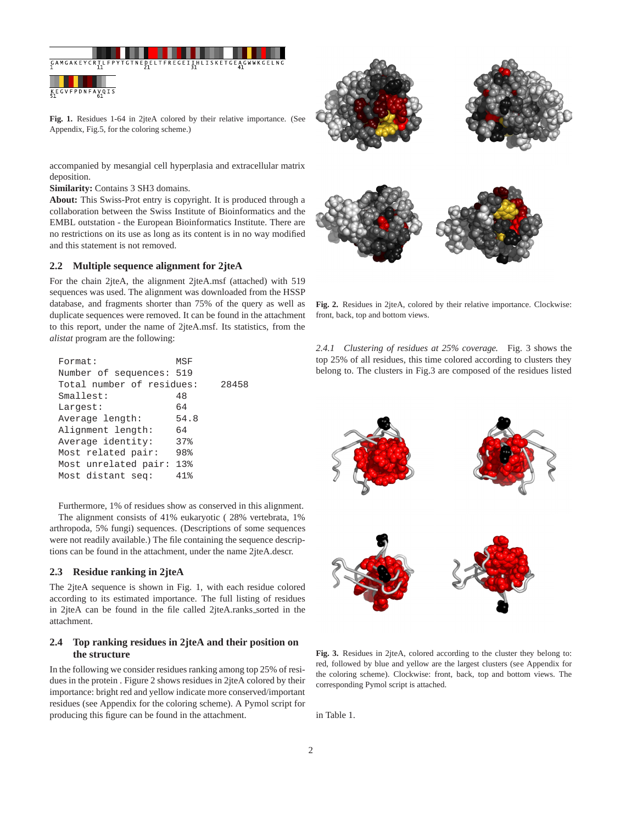

**Fig. 1.** Residues 1-64 in 2jteA colored by their relative importance. (See Appendix, Fig.5, for the coloring scheme.)

accompanied by mesangial cell hyperplasia and extracellular matrix deposition.

**Similarity:** Contains 3 SH3 domains.

**About:** This Swiss-Prot entry is copyright. It is produced through a collaboration between the Swiss Institute of Bioinformatics and the EMBL outstation - the European Bioinformatics Institute. There are no restrictions on its use as long as its content is in no way modified and this statement is not removed.

## **2.2 Multiple sequence alignment for 2jteA**

For the chain 2jteA, the alignment 2jteA.msf (attached) with 519 sequences was used. The alignment was downloaded from the HSSP database, and fragments shorter than 75% of the query as well as duplicate sequences were removed. It can be found in the attachment to this report, under the name of 2jteA.msf. Its statistics, from the *alistat* program are the following:

| Number of sequences: 519  | 28458 |
|---------------------------|-------|
|                           |       |
| Total number of residues: |       |
| Smallest:<br>48           |       |
| 64<br>Largest:            |       |
| 54.8<br>Average length:   |       |
| Alignment length:<br>64   |       |
| Average identity:<br>37%  |       |
| 98%<br>Most related pair: |       |
| Most unrelated pair: 13%  |       |
| Most distant seq:<br>41%  |       |

Furthermore, 1% of residues show as conserved in this alignment. The alignment consists of 41% eukaryotic ( 28% vertebrata, 1% arthropoda, 5% fungi) sequences. (Descriptions of some sequences were not readily available.) The file containing the sequence descriptions can be found in the attachment, under the name 2jteA.descr.

#### **2.3 Residue ranking in 2jteA**

The 2jteA sequence is shown in Fig. 1, with each residue colored according to its estimated importance. The full listing of residues in 2jteA can be found in the file called 2jteA.ranks\_sorted in the attachment.

# **2.4 Top ranking residues in 2jteA and their position on the structure**

In the following we consider residues ranking among top 25% of residues in the protein . Figure 2 shows residues in 2jteA colored by their importance: bright red and yellow indicate more conserved/important residues (see Appendix for the coloring scheme). A Pymol script for producing this figure can be found in the attachment.



**Fig. 2.** Residues in 2jteA, colored by their relative importance. Clockwise: front, back, top and bottom views.

*2.4.1 Clustering of residues at 25% coverage.* Fig. 3 shows the top 25% of all residues, this time colored according to clusters they belong to. The clusters in Fig.3 are composed of the residues listed



**Fig. 3.** Residues in 2jteA, colored according to the cluster they belong to: red, followed by blue and yellow are the largest clusters (see Appendix for the coloring scheme). Clockwise: front, back, top and bottom views. The corresponding Pymol script is attached.

in Table 1.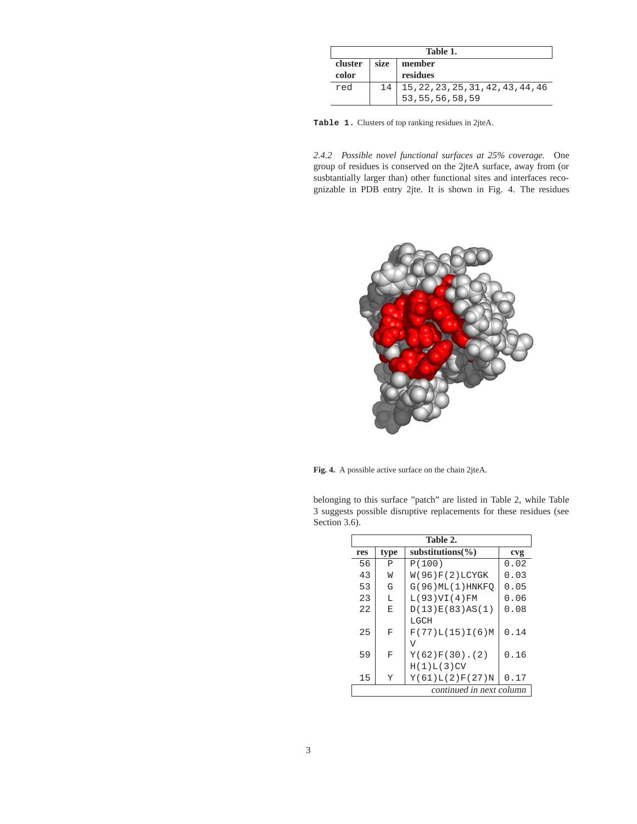| Table 1. |      |                                    |
|----------|------|------------------------------------|
| cluster  | size | member                             |
| color    |      | residues                           |
| red      | 14   | 15, 22, 23, 25, 31, 42, 43, 44, 46 |
|          |      | 53, 55, 56, 58, 59                 |

**Table 1.** Clusters of top ranking residues in 2jteA.

*2.4.2 Possible novel functional surfaces at 25% coverage.* One group of residues is conserved on the 2jteA surface, away from (or susbtantially larger than) other functional sites and interfaces recognizable in PDB entry 2jte. It is shown in Fig. 4. The residues



**Fig. 4.** A possible active surface on the chain 2jteA.

belonging to this surface "patch" are listed in Table 2, while Table 3 suggests possible disruptive replacements for these residues (see Section 3.6).

| Table 2.                 |      |                       |      |
|--------------------------|------|-----------------------|------|
| res                      | type | substitutions $(\% )$ | cvg  |
| 56                       | P    | P(100)                | 0.02 |
| 43                       | W    | W(96)F(2)LCYGK        | 0.03 |
| 53                       | G    | G(96)ML(1)HNKFO       | 0.05 |
| 23                       | т.   | L(93)VI(4)FM          | 0.06 |
| 2.2.                     | E    | D(13)E(83)AS(1)       | 0.08 |
|                          |      | LGCH                  |      |
| 25                       | F    | F(77)L(15)I(6)M       | 0.14 |
|                          |      | ٦T                    |      |
| 59                       | F    | $Y(62)F(30)$ . (2)    | 0.16 |
|                          |      | H(1)L(3)CV            |      |
| 15                       | Y    | Y(61)L(2)F(27)N       | 0.17 |
| continued in next column |      |                       |      |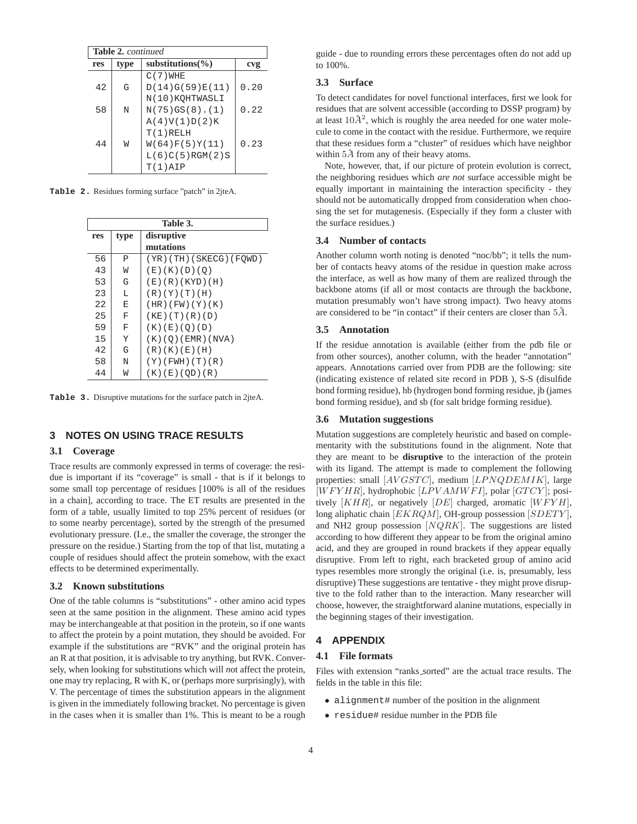| <b>Table 2.</b> continued |      |                       |      |
|---------------------------|------|-----------------------|------|
| res                       | type | substitutions $(\% )$ | cvg  |
|                           |      | $C(7)$ WHE            |      |
| 42                        | G    | D(14)G(59)E(11)       | 0.20 |
|                           |      | N(10) KOHTWASLI       |      |
| 58                        | N    | $N(75)GS(8)$ . (1)    | 0.22 |
|                           |      | A(4)V(1)D(2)K         |      |
|                           |      | $T(1)$ RELH           |      |
| 44                        | W    | W(64)F(5)Y(11)        | 0.23 |
|                           |      | L(6)C(5)RGM(2)S       |      |
|                           |      | T(1)AIP               |      |
|                           |      |                       |      |

**Table 2.** Residues forming surface "patch" in 2jteA.

| Table 3. |      |                          |  |
|----------|------|--------------------------|--|
| res      | type | disruptive               |  |
|          |      | mutations                |  |
| 56       | P    | (YR)(TH)(SKECG)(FOWD)    |  |
| 43       | W    | (E)(K)(D)(O)             |  |
| 53       | G    | (E)(R)(KYD)(H)           |  |
| 23       | L    | (R)(Y)(T)(H)             |  |
| 22       | E    | (HR) (FW) (Y) (K)        |  |
| 25       | F    | $(KE)$ $(T)$ $(R)$ $(D)$ |  |
| 59       | F    | (K) (E) (O) (D)          |  |
| 15       | Y    | $(K)$ (O) (EMR) (NVA)    |  |
| 42       | G    | (R)(K)(E)(H)             |  |
| 58       | N    | $(Y)$ (FWH) $(T)$ (R)    |  |
| 44       | W    | (K)(E)(OD)(R)            |  |

**Table 3.** Disruptive mutations for the surface patch in 2jteA.

# **3 NOTES ON USING TRACE RESULTS**

#### **3.1 Coverage**

Trace results are commonly expressed in terms of coverage: the residue is important if its "coverage" is small - that is if it belongs to some small top percentage of residues [100% is all of the residues in a chain], according to trace. The ET results are presented in the form of a table, usually limited to top 25% percent of residues (or to some nearby percentage), sorted by the strength of the presumed evolutionary pressure. (I.e., the smaller the coverage, the stronger the pressure on the residue.) Starting from the top of that list, mutating a couple of residues should affect the protein somehow, with the exact effects to be determined experimentally.

#### **3.2 Known substitutions**

One of the table columns is "substitutions" - other amino acid types seen at the same position in the alignment. These amino acid types may be interchangeable at that position in the protein, so if one wants to affect the protein by a point mutation, they should be avoided. For example if the substitutions are "RVK" and the original protein has an R at that position, it is advisable to try anything, but RVK. Conversely, when looking for substitutions which will *n*ot affect the protein, one may try replacing, R with K, or (perhaps more surprisingly), with V. The percentage of times the substitution appears in the alignment is given in the immediately following bracket. No percentage is given in the cases when it is smaller than 1%. This is meant to be a rough guide - due to rounding errors these percentages often do not add up to 100%.

## **3.3 Surface**

To detect candidates for novel functional interfaces, first we look for residues that are solvent accessible (according to DSSP program) by at least  $10\AA^2$ , which is roughly the area needed for one water molecule to come in the contact with the residue. Furthermore, we require that these residues form a "cluster" of residues which have neighbor within  $5\AA$  from any of their heavy atoms.

Note, however, that, if our picture of protein evolution is correct, the neighboring residues which *are not* surface accessible might be equally important in maintaining the interaction specificity - they should not be automatically dropped from consideration when choosing the set for mutagenesis. (Especially if they form a cluster with the surface residues.)

#### **3.4 Number of contacts**

Another column worth noting is denoted "noc/bb"; it tells the number of contacts heavy atoms of the residue in question make across the interface, as well as how many of them are realized through the backbone atoms (if all or most contacts are through the backbone, mutation presumably won't have strong impact). Two heavy atoms are considered to be "in contact" if their centers are closer than  $5\AA$ .

#### **3.5 Annotation**

If the residue annotation is available (either from the pdb file or from other sources), another column, with the header "annotation" appears. Annotations carried over from PDB are the following: site (indicating existence of related site record in PDB ), S-S (disulfide bond forming residue), hb (hydrogen bond forming residue, jb (james bond forming residue), and sb (for salt bridge forming residue).

#### **3.6 Mutation suggestions**

Mutation suggestions are completely heuristic and based on complementarity with the substitutions found in the alignment. Note that they are meant to be **disruptive** to the interaction of the protein with its ligand. The attempt is made to complement the following properties: small [AVGSTC], medium [LPNQDEMIK], large  $[WFYHR]$ , hydrophobic  $[LPVAMWFI]$ , polar  $[GTCY]$ ; positively  $[KHR]$ , or negatively  $[DE]$  charged, aromatic  $[WFYH]$ , long aliphatic chain  $[EKRQM]$ , OH-group possession  $[SDETY]$ , and NH2 group possession  $[NQRK]$ . The suggestions are listed according to how different they appear to be from the original amino acid, and they are grouped in round brackets if they appear equally disruptive. From left to right, each bracketed group of amino acid types resembles more strongly the original (i.e. is, presumably, less disruptive) These suggestions are tentative - they might prove disruptive to the fold rather than to the interaction. Many researcher will choose, however, the straightforward alanine mutations, especially in the beginning stages of their investigation.

# **4 APPENDIX**

#### **4.1 File formats**

Files with extension "ranks sorted" are the actual trace results. The fields in the table in this file:

- alignment# number of the position in the alignment
- residue# residue number in the PDB file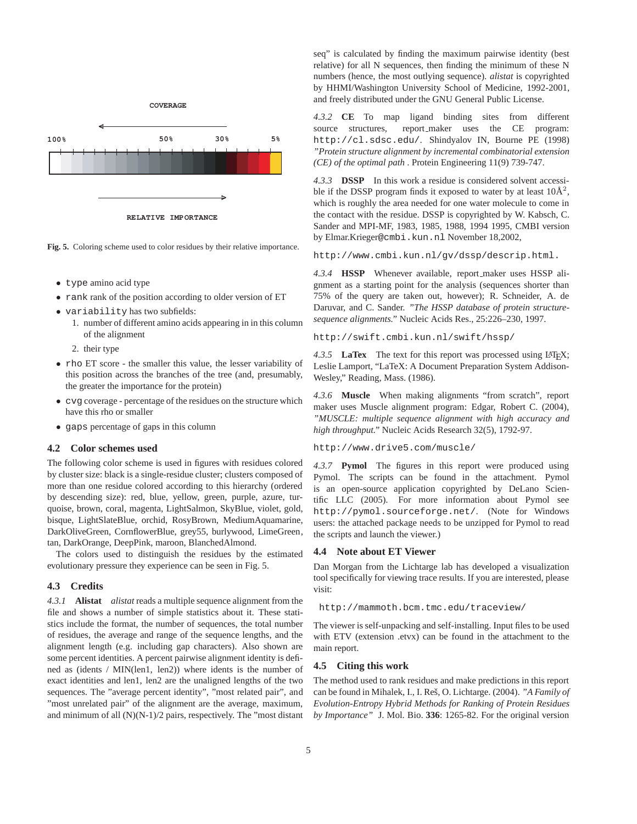

**RELATIVE IMPORTANCE**

**Fig. 5.** Coloring scheme used to color residues by their relative importance.

- type amino acid type
- rank rank of the position according to older version of ET
- variability has two subfields:
	- 1. number of different amino acids appearing in in this column of the alignment
	- 2. their type
- rho ET score the smaller this value, the lesser variability of this position across the branches of the tree (and, presumably, the greater the importance for the protein)
- cvg coverage percentage of the residues on the structure which have this rho or smaller
- gaps percentage of gaps in this column

### **4.2 Color schemes used**

The following color scheme is used in figures with residues colored by cluster size: black is a single-residue cluster; clusters composed of more than one residue colored according to this hierarchy (ordered by descending size): red, blue, yellow, green, purple, azure, turquoise, brown, coral, magenta, LightSalmon, SkyBlue, violet, gold, bisque, LightSlateBlue, orchid, RosyBrown, MediumAquamarine, DarkOliveGreen, CornflowerBlue, grey55, burlywood, LimeGreen, tan, DarkOrange, DeepPink, maroon, BlanchedAlmond.

The colors used to distinguish the residues by the estimated evolutionary pressure they experience can be seen in Fig. 5.

### **4.3 Credits**

*4.3.1* **Alistat** *alistat* reads a multiple sequence alignment from the file and shows a number of simple statistics about it. These statistics include the format, the number of sequences, the total number of residues, the average and range of the sequence lengths, and the alignment length (e.g. including gap characters). Also shown are some percent identities. A percent pairwise alignment identity is defined as (idents / MIN(len1, len2)) where idents is the number of exact identities and len1, len2 are the unaligned lengths of the two sequences. The "average percent identity", "most related pair", and "most unrelated pair" of the alignment are the average, maximum, and minimum of all (N)(N-1)/2 pairs, respectively. The "most distant

seq" is calculated by finding the maximum pairwise identity (best relative) for all N sequences, then finding the minimum of these N numbers (hence, the most outlying sequence). *alistat* is copyrighted by HHMI/Washington University School of Medicine, 1992-2001, and freely distributed under the GNU General Public License.

*4.3.2* **CE** To map ligand binding sites from different source structures, report\_maker uses the CE program: http://cl.sdsc.edu/. Shindyalov IN, Bourne PE (1998) *"Protein structure alignment by incremental combinatorial extension (CE) of the optimal path* . Protein Engineering 11(9) 739-747.

*4.3.3* **DSSP** In this work a residue is considered solvent accessible if the DSSP program finds it exposed to water by at least  $10\text{\AA}^2$ , which is roughly the area needed for one water molecule to come in the contact with the residue. DSSP is copyrighted by W. Kabsch, C. Sander and MPI-MF, 1983, 1985, 1988, 1994 1995, CMBI version by Elmar.Krieger@cmbi.kun.nl November 18,2002,

http://www.cmbi.kun.nl/gv/dssp/descrip.html.

*4.3.4* **HSSP** Whenever available, report maker uses HSSP alignment as a starting point for the analysis (sequences shorter than 75% of the query are taken out, however); R. Schneider, A. de Daruvar, and C. Sander. *"The HSSP database of protein structuresequence alignments."* Nucleic Acids Res., 25:226–230, 1997.

http://swift.cmbi.kun.nl/swift/hssp/

*4.3.5* **LaTex** The text for this report was processed using LATEX; Leslie Lamport, "LaTeX: A Document Preparation System Addison-Wesley," Reading, Mass. (1986).

*4.3.6* **Muscle** When making alignments "from scratch", report maker uses Muscle alignment program: Edgar, Robert C. (2004), *"MUSCLE: multiple sequence alignment with high accuracy and high throughput."* Nucleic Acids Research 32(5), 1792-97.

http://www.drive5.com/muscle/

*4.3.7* **Pymol** The figures in this report were produced using Pymol. The scripts can be found in the attachment. Pymol is an open-source application copyrighted by DeLano Scientific LLC (2005). For more information about Pymol see http://pymol.sourceforge.net/. (Note for Windows users: the attached package needs to be unzipped for Pymol to read the scripts and launch the viewer.)

#### **4.4 Note about ET Viewer**

Dan Morgan from the Lichtarge lab has developed a visualization tool specifically for viewing trace results. If you are interested, please visit:

http://mammoth.bcm.tmc.edu/traceview/

The viewer is self-unpacking and self-installing. Input files to be used with ETV (extension .etvx) can be found in the attachment to the main report.

#### **4.5 Citing this work**

The method used to rank residues and make predictions in this report can be found in Mihalek, I., I. Res, O. Lichtarge. (2004). ˇ *"A Family of Evolution-Entropy Hybrid Methods for Ranking of Protein Residues by Importance"* J. Mol. Bio. **336**: 1265-82. For the original version